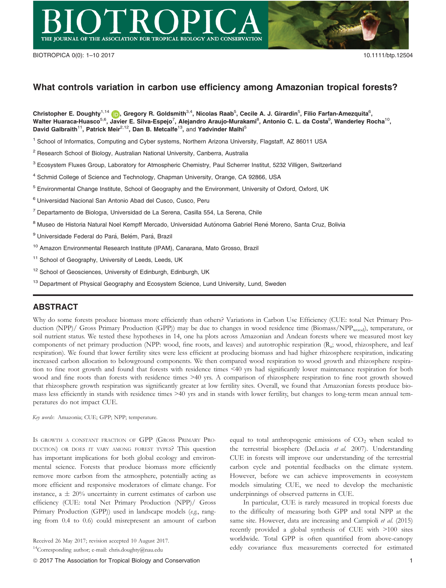

# What controls variation in carbon use efficiency among Amazonian tropical forests?

Christopher E. Doughty $^{1,14}$  (D), Gregory R. Goldsmith $^{3,4},$  Nicolas Raab $^5$ , Cecile A. J. Girardin $^5$ , Filio Farfan-Amezquita $^6$ , Walter Huaraca-Huasco<sup>5,6</sup>, Javier E. Silva-Espejo<sup>7</sup>, Alejandro Araujo-Murakami<sup>8</sup>, Antonio C. L. da Costa<sup>9</sup>, Wanderley Rocha<sup>10</sup>, David Galbraith<sup>11</sup>, Patrick Meir<sup>2,12</sup>, Dan B. Metcalfe<sup>13</sup>, and Yadvinder Malhi<sup>5</sup>

<sup>1</sup> School of Informatics, Computing and Cyber systems, Northern Arizona University, Flagstaff, AZ 86011 USA

<sup>2</sup> Research School of Biology, Australian National University, Canberra, Australia

<sup>3</sup> Ecosystem Fluxes Group, Laboratory for Atmospheric Chemistry, Paul Scherrer Institut, 5232 Villigen, Switzerland

<sup>4</sup> Schmid College of Science and Technology, Chapman University, Orange, CA 92866, USA

<sup>5</sup> Environmental Change Institute, School of Geography and the Environment, University of Oxford, Oxford, UK

<sup>6</sup> Universidad Nacional San Antonio Abad del Cusco, Cusco, Peru

<sup>7</sup> Departamento de Biologıa, Universidad de La Serena, Casilla 554, La Serena, Chile

<sup>8</sup> Museo de Historia Natural Noel Kempff Mercado, Universidad Autónoma Gabriel René Moreno, Santa Cruz, Bolivia

<sup>9</sup> Universidade Federal do Pará, Belém, Pará, Brazil

<sup>10</sup> Amazon Environmental Research Institute (IPAM), Canarana, Mato Grosso, Brazil

<sup>11</sup> School of Geography, University of Leeds, Leeds, UK

<sup>12</sup> School of Geosciences, University of Edinburgh, Edinburgh, UK

<sup>13</sup> Department of Physical Geography and Ecosystem Science, Lund University, Lund, Sweden

## ABSTRACT

Why do some forests produce biomass more efficiently than others? Variations in Carbon Use Efficiency (CUE: total Net Primary Production (NPP)/ Gross Primary Production (GPP)) may be due to changes in wood residence time (Biomass/NPP<sub>wood</sub>), temperature, or soil nutrient status. We tested these hypotheses in 14, one ha plots across Amazonian and Andean forests where we measured most key components of net primary production (NPP: wood, fine roots, and leaves) and autotrophic respiration (R<sub>a</sub>; wood, rhizosphere, and leaf respiration). We found that lower fertility sites were less efficient at producing biomass and had higher rhizosphere respiration, indicating increased carbon allocation to belowground components. We then compared wood respiration to wood growth and rhizosphere respiration to fine root growth and found that forests with residence times <40 yrs had significantly lower maintenance respiration for both wood and fine roots than forests with residence times >40 yrs. A comparison of rhizosphere respiration to fine root growth showed that rhizosphere growth respiration was significantly greater at low fertility sites. Overall, we found that Amazonian forests produce biomass less efficiently in stands with residence times >40 yrs and in stands with lower fertility, but changes to long-term mean annual temperatures do not impact CUE.

Key words: Amazonia; CUE; GPP; NPP; temperature.

IS GROWTH A CONSTANT FRACTION OF GPP (GROSS PRIMARY PRO-DUCTION) OR DOES IT VARY AMONG FOREST TYPES? This question has important implications for both global ecology and environmental science. Forests that produce biomass more efficiently remove more carbon from the atmosphere, potentially acting as more efficient and responsive moderators of climate change. For instance,  $a \pm 20\%$  uncertainty in current estimates of carbon use efficiency (CUE: total Net Primary Production (NPP)/ Gross Primary Production (GPP)) used in landscape models (e.g., ranging from 0.4 to 0.6) could misrepresent an amount of carbon

equal to total anthropogenic emissions of  $CO<sub>2</sub>$  when scaled to the terrestrial biosphere (DeLucia et al. 2007). Understanding CUE in forests will improve our understanding of the terrestrial carbon cycle and potential feedbacks on the climate system. However, before we can achieve improvements in ecosystem models simulating CUE, we need to develop the mechanistic underpinnings of observed patterns in CUE.

In particular, CUE is rarely measured in tropical forests due to the difficulty of measuring both GPP and total NPP at the same site. However, data are increasing and Campioli et al. (2015) recently provided a global synthesis of CUE with >100 sites worldwide. Total GPP is often quantified from above-canopy eddy covariance flux measurements corrected for estimated

Received 26 May 2017; revision accepted 10 August 2017.

<sup>&</sup>lt;sup>14</sup>Corresponding author; e-mail: chris.doughty@nau.edu

ª 2017 The Association for Tropical Biology and Conservation 1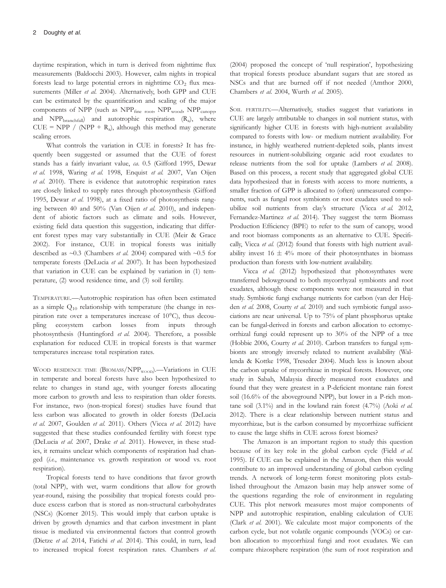daytime respiration, which in turn is derived from nighttime flux measurements (Baldocchi 2003). However, calm nights in tropical forests lead to large potential errors in nighttime  $CO<sub>2</sub>$  flux measurements (Miller et al. 2004). Alternatively, both GPP and CUE can be estimated by the quantification and scaling of the major components of NPP (such as  $NPP_{\text{fine root}}$ ,  $NPP_{\text{wood}}$ ,  $NPP_{\text{canopy}}$ , and  $NPP<sub>branchfall</sub>$  and autotrophic respiration  $(R_a)$ , where  $CUE = NPP / (NPP + R<sub>a</sub>)$ , although this method may generate scaling errors.

What controls the variation in CUE in forests? It has frequently been suggested or assumed that the CUE of forest stands has a fairly invariant value, ca. 0.5 (Gifford 1995, Dewar et al. 1998, Waring et al. 1998, Enquist et al. 2007, Van Oijen et al. 2010). There is evidence that autotrophic respiration rates are closely linked to supply rates through photosynthesis (Gifford 1995, Dewar et al. 1998), at a fixed ratio of photosynthesis ranging between 40 and 50% (Van Oijen et al. 2010), and independent of abiotic factors such as climate and soils. However, existing field data question this suggestion, indicating that different forest types may vary substantially in CUE (Meir & Grace 2002). For instance, CUE in tropical forests was initially described as  $\sim$ 0.3 (Chambers *et al.* 2004) compared with  $\sim$ 0.5 for temperate forests (DeLucia et al. 2007). It has been hypothesized that variation in CUE can be explained by variation in (1) temperature, (2) wood residence time, and (3) soil fertility.

TEMPERATURE.—Autotrophic respiration has often been estimated as a simple  $Q_{10}$  relationship with temperature (the change in respiration rate over a temperatures increase of 10°C), thus decoupling ecosystem carbon losses from inputs through photosynthesis (Huntingford et al. 2004). Therefore, a possible explanation for reduced CUE in tropical forests is that warmer temperatures increase total respiration rates.

WOOD RESIDENCE TIME  $(BIOMASS/NPP<sub>WOOD</sub>)$ . Variations in CUE in temperate and boreal forests have also been hypothesized to relate to changes in stand age, with younger forests allocating more carbon to growth and less to respiration than older forests. For instance, two (non-tropical forest) studies have found that less carbon was allocated to growth in older forests (DeLucia et al. 2007, Goulden et al. 2011). Others (Vicca et al. 2012) have suggested that these studies confounded fertility with forest type (DeLucia et al. 2007, Drake et al. 2011). However, in these studies, it remains unclear which components of respiration had changed (i.e., maintenance vs. growth respiration or wood vs. root respiration).

Tropical forests tend to have conditions that favor growth (total NPP), with wet, warm conditions that allow for growth year-round, raising the possibility that tropical forests could produce excess carbon that is stored as non-structural carbohydrates (NSCs) (Korner 2015). This would imply that carbon uptake is driven by growth dynamics and that carbon investment in plant tissue is mediated via environmental factors that control growth (Dietze et al. 2014, Fatichi et al. 2014). This could, in turn, lead to increased tropical forest respiration rates. Chambers et al.

(2004) proposed the concept of 'null respiration', hypothesizing that tropical forests produce abundant sugars that are stored as NSCs and that are burned off if not needed (Amthor 2000, Chambers et al. 2004, Wurth et al. 2005).

SOIL FERTILITY.---Alternatively, studies suggest that variations in CUE are largely attributable to changes in soil nutrient status, with significantly higher CUE in forests with high-nutrient availability compared to forests with low- or medium nutrient availability. For instance, in highly weathered nutrient-depleted soils, plants invest resources in nutrient-solubilizing organic acid root exudates to release nutrients from the soil for uptake (Lambers et al. 2008). Based on this process, a recent study that aggregated global CUE data hypothesized that in forests with access to more nutrients, a smaller fraction of GPP is allocated to (often) unmeasured components, such as fungal root symbionts or root exudates used to solubilize soil nutrients from clay's structure (Vicca et al. 2012, Fernandez-Martinez et al. 2014). They suggest the term Biomass Production Efficiency (BPE) to refer to the sum of canopy, wood and root biomass components as an alternative to CUE. Specifically, Vicca et al. (2012) found that forests with high nutrient availability invest  $16 \pm 4\%$  more of their photosynthates in biomass production than forests with low-nutrient availability.

Vicca et al. (2012) hypothesized that photosynthates were transferred belowground to both mycorrhyzal symbionts and root exudates, although these components were not measured in that study. Symbiotic fungi exchange nutrients for carbon (van der Heijden et al. 2008, Courty et al. 2010) and such symbiotic fungal associations are near universal. Up to 75% of plant phosphorus uptake can be fungal-derived in forests and carbon allocation to ectomycorrhizal fungi could represent up to 30% of the NPP of a tree (Hobbie 2006, Courty et al. 2010). Carbon transfers to fungal symbionts are strongly inversely related to nutrient availability (Wallenda & Kottke 1998, Treseder 2004). Much less is known about the carbon uptake of mycorrhizae in tropical forests. However, one study in Sabah, Malaysia directly measured root exudates and found that they were greatest in a P-deficient montane rain forest soil (16.6% of the aboveground NPP), but lower in a P-rich montane soil  $(3.1\%)$  and in the lowland rain forest  $(4.7\%)$  (Aoki et al. 2012). There is a clear relationship between nutrient status and mycorrhizae, but is the carbon consumed by mycorrhizae sufficient to cause the large shifts in CUE across forest biomes?

The Amazon is an important region to study this question because of its key role in the global carbon cycle (Field et al. 1995). If CUE can be explained in the Amazon, then this would contribute to an improved understanding of global carbon cycling trends. A network of long-term forest monitoring plots established throughout the Amazon basin may help answer some of the questions regarding the role of environment in regulating CUE. This plot network measures most major components of NPP and autotrophic respiration, enabling calculation of CUE (Clark et al. 2001). We calculate most major components of the carbon cycle, but not volatile organic compounds (VOCs) or carbon allocation to mycorrhizal fungi and root exudates. We can compare rhizosphere respiration (the sum of root respiration and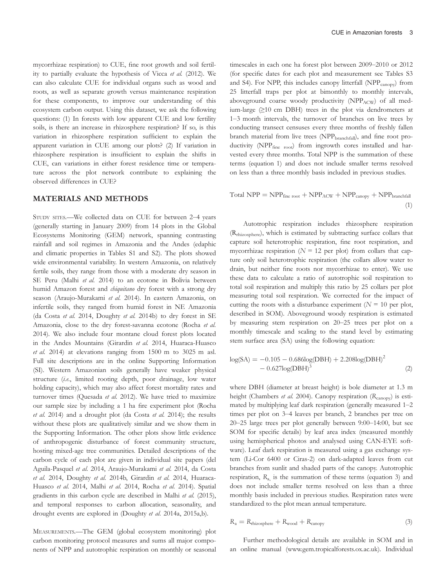mycorrhizae respiration) to CUE, fine root growth and soil fertility to partially evaluate the hypothesis of Vicca et al. (2012). We can also calculate CUE for individual organs such as wood and roots, as well as separate growth versus maintenance respiration for these components, to improve our understanding of this ecosystem carbon output. Using this dataset, we ask the following questions: (1) In forests with low apparent CUE and low fertility soils, is there an increase in rhizosphere respiration? If so, is this variation in rhizosphere respiration sufficient to explain the apparent variation in CUE among our plots? (2) If variation in rhizosphere respiration is insufficient to explain the shifts in CUE, can variations in either forest residence time or temperature across the plot network contribute to explaining the observed differences in CUE?

#### MATERIALS AND METHODS

STUDY SITES.—We collected data on CUE for between 2–4 years (generally starting in January 2009) from 14 plots in the Global Ecosystems Monitoring (GEM) network, spanning contrasting rainfall and soil regimes in Amazonia and the Andes (edaphic and climatic properties in Tables S1 and S2). The plots showed wide environmental variability. In western Amazonia, on relatively fertile soils, they range from those with a moderate dry season in SE Peru (Malhi et al. 2014) to an ecotone in Bolivia between humid Amazon forest and *chiquitano* dry forest with a strong dry season (Araujo-Murakami et al. 2014). In eastern Amazonia, on infertile soils, they ranged from humid forest in NE Amazonia (da Costa et al. 2014, Doughty et al. 2014b) to dry forest in SE Amazonia, close to the dry forest-savanna ecotone (Rocha et al. 2014). We also include four montane cloud forest plots located in the Andes Mountains (Girardin et al. 2014, Huaraca-Huasco et al. 2014) at elevations ranging from 1500 m to 3025 m asl. Full site descriptions are in the online Supporting Information (SI). Western Amazonian soils generally have weaker physical structure (i.e., limited rooting depth, poor drainage, low water holding capacity), which may also affect forest mortality rates and turnover times (Quesada et al. 2012). We have tried to maximize our sample size by including a 1 ha fire experiment plot (Rocha et al. 2014) and a drought plot (da Costa et al. 2014); the results without these plots are qualitatively similar and we show them in the Supporting Information. The other plots show little evidence of anthropogenic disturbance of forest community structure, hosting mixed-age tree communities. Detailed descriptions of the carbon cycle of each plot are given in individual site papers (del Aguila-Pasquel et al. 2014, Araujo-Murakami et al. 2014, da Costa et al. 2014, Doughty et al. 2014b, Girardin et al. 2014, Huaraca-Huasco et al. 2014, Malhi et al. 2014, Rocha et al. 2014). Spatial gradients in this carbon cycle are described in Malhi et al. (2015), and temporal responses to carbon allocation, seasonality, and drought events are explored in (Doughty et al. 2014a, 2015a,b).

MEASUREMENTS.—The GEM (global ecosystem monitoring) plot carbon monitoring protocol measures and sums all major components of NPP and autotrophic respiration on monthly or seasonal

timescales in each one ha forest plot between 2009–2010 or 2012 (for specific dates for each plot and measurement see Tables S3 and S4). For NPP, this includes canopy litterfall (NPP<sub>canopy</sub>) from 25 litterfall traps per plot at bimonthly to monthly intervals, aboveground coarse woody productivity (NPPACW) of all medium-large (≥10 cm DBH) trees in the plot via dendrometers at 1–3 month intervals, the turnover of branches on live trees by conducting transect censuses every three months of freshly fallen branch material from live trees (NPP<sub>branchfall</sub>), and fine root productivity (NPP<sub>fine root</sub>) from ingrowth cores installed and harvested every three months. Total NPP is the summation of these terms (equation 1) and does not include smaller terms resolved on less than a three monthly basis included in previous studies.

$$
Total NPP = NPPfine root + NPPACW + NPPcanopy + NPPbranchfall
$$
\n(1)

Autotrophic respiration includes rhizosphere respiration (Rrhizosphere), which is estimated by subtracting surface collars that capture soil heterotrophic respiration, fine root respiration, and mycorrhizae respiration ( $N = 12$  per plot) from collars that capture only soil heterotrophic respiration (the collars allow water to drain, but neither fine roots nor mycorrhizae to enter). We use these data to calculate a ratio of autotrophic soil respiration to total soil respiration and multiply this ratio by 25 collars per plot measuring total soil respiration. We corrected for the impact of cutting the roots with a disturbance experiment  $(N = 10$  per plot, described in SOM). Aboveground woody respiration is estimated by measuring stem respiration on 20–25 trees per plot on a monthly timescale and scaling to the stand level by estimating stem surface area (SA) using the following equation:

$$
log(SA) = -0.105 - 0.686 log(DBH) + 2.208 log(DBH)2
$$
  
- 0.627log(DBH)<sup>3</sup> (2)

where DBH (diameter at breast height) is bole diameter at 1.3 m height (Chambers et al. 2004). Canopy respiration  $(R_{\text{canopy}})$  is estimated by multiplying leaf dark respiration (generally measured 1–2 times per plot on 3–4 leaves per branch, 2 branches per tree on 20–25 large trees per plot generally between 9:00–14:00, but see SOM for specific details) by leaf area index (measured monthly using hemispherical photos and analysed using CAN-EYE software). Leaf dark respiration is measured using a gas exchange system (Li-Cor 6400 or Ciras-2) on dark-adapted leaves from cut branches from sunlit and shaded parts of the canopy. Autotrophic respiration,  $R_a$  is the summation of these terms (equation 3) and does not include smaller terms resolved on less than a three monthly basis included in previous studies. Respiration rates were standardized to the plot mean annual temperature.

$$
R_a = R_{\text{rhizosphere}} + R_{\text{wood}} + R_{\text{canopy}}
$$
 (3)

Further methodological details are available in SOM and in an online manual [\(www.gem.tropicalforests.ox.ac.uk\)](http://www.gem.tropicalforests.ox.ac.uk). Individual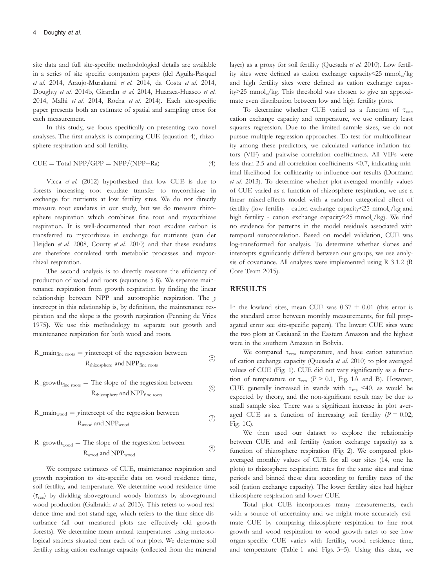site data and full site-specific methodological details are available in a series of site specific companion papers (del Aguila-Pasquel et al. 2014, Araujo-Murakami et al. 2014, da Costa et al. 2014, Doughty et al. 2014b, Girardin et al. 2014, Huaraca-Huasco et al. 2014, Malhi et al. 2014, Rocha et al. 2014). Each site-specific paper presents both an estimate of spatial and sampling error for each measurement.

In this study, we focus specifically on presenting two novel analyses. The first analysis is comparing CUE (equation 4), rhizosphere respiration and soil fertility.

$$
CUE = Total NPP/GPP = NPP/(NPP+Ra)
$$
 (4)

Vicca et al. (2012) hypothesized that low CUE is due to forests increasing root exudate transfer to mycorrhizae in exchange for nutrients at low fertility sites. We do not directly measure root exudates in our study, but we do measure rhizosphere respiration which combines fine root and mycorrhizae respiration. It is well-documented that root exudate carbon is transferred to mycorrhizae in exchange for nutrients (van der Heijden et al. 2008, Courty et al. 2010) and that these exudates are therefore correlated with metabolic processes and mycorrhizal respiration.

The second analysis is to directly measure the efficiency of production of wood and roots (equations 5-8). We separate maintenance respiration from growth respiration by finding the linear relationship between NPP and autotrophic respiration. The  $y$ intercept in this relationship is, by definition, the maintenance respiration and the slope is the growth respiration (Penning de Vries 1975). We use this methodology to separate out growth and maintenance respiration for both wood and roots.

R\_main<sub>fine roots</sub> = *y* intercept of the regression between 
$$
R_{\text{rhizosphere}}
$$
 and NPP<sub>fine roots</sub> (5)

$$
R_{\text{growth}_{\text{fine roots}}} = \text{The slope of the regression between}
$$
\n
$$
R_{\text{thisosphere}} = \text{and NPP}_{\text{fine roots}} \tag{6}
$$

R\_main<sub>wood</sub> = *y* intercept of the regression between 
$$
R_{wood} \text{ and NPP}_{wood}
$$
 (7)

$$
R_{\text{growth}_{\text{wood}}} = \text{The slope of the regression between}
$$
\n
$$
R_{\text{wood}} \text{ and } \text{NPP}_{\text{wood}} \tag{8}
$$

We compare estimates of CUE, maintenance respiration and growth respiration to site-specific data on wood residence time, soil fertility, and temperature. We determine wood residence time  $(\tau_{res})$  by dividing aboveground woody biomass by aboveground wood production (Galbraith et al. 2013). This refers to wood residence time and not stand age, which refers to the time since disturbance (all our measured plots are effectively old growth forests). We determine mean annual temperatures using meteorological stations situated near each of our plots. We determine soil fertility using cation exchange capacity (collected from the mineral

layer) as a proxy for soil fertility (Quesada et al. 2010). Low fertility sites were defined as cation exchange capacity $\leq$ 25 mmol<sub>c</sub>/kg and high fertility sites were defined as cation exchange capacity $>$ 25 mmol<sub>c</sub>/kg. This threshold was chosen to give an approximate even distribution between low and high fertility plots.

To determine whether CUE varied as a function of  $\tau_{res}$ , cation exchange capacity and temperature, we use ordinary least squares regression. Due to the limited sample sizes, we do not pursue multiple regression approaches. To test for multicollinearity among these predictors, we calculated variance inflation factors (VIF) and pairwise correlation coefficitnets. All VIFs were less than 2.5 and all correlation coefficinents <0.7, indicating minimal likelihood for collinearity to influence our results (Dormann et al. 2013). To determine whether plot-averaged monthly values of CUE varied as a function of rhizosphere respiration, we use a linear mixed-effects model with a random categorical effect of fertility (low fertility - cation exchange capacity  $\leq$  25 mmol<sub>c</sub>/kg and high fertility - cation exchange capacity  $>$  25 mmol<sub>c</sub>/kg). We find no evidence for patterns in the model residuals associated with temporal autocorrelation. Based on model validation, CUE was log-transformed for analysis. To determine whether slopes and intercepts significantly differed between our groups, we use analysis of covariance. All analyses were implemented using R 3.1.2 (R Core Team 2015).

### RESULTS

In the lowland sites, mean CUE was  $0.37 \pm 0.01$  (this error is the standard error between monthly measurements, for full propagated error see site-specific papers). The lowest CUE sites were the two plots at Caxiuana in the Eastern Amazon and the highest were in the southern Amazon in Bolivia.

We compared  $\tau_{res}$ , temperature, and base cation saturation of cation exchange capacity (Quesada et al. 2010) to plot averaged values of CUE (Fig. 1). CUE did not vary significantly as a function of temperature or  $\tau_{res}$  ( $P > 0.1$ , Fig. 1A and B). However, CUE generally increased in stands with  $\tau_{res}$  <40, as would be expected by theory, and the non-significant result may be due to small sample size. There was a significant increase in plot averaged CUE as a function of increasing soil fertility  $(P = 0.02)$ ; Fig. 1C).

We then used our dataset to explore the relationship between CUE and soil fertility (cation exchange capacity) as a function of rhizosphere respiration (Fig. 2). We compared plotaveraged monthly values of CUE for all our sites (14, one ha plots) to rhizosphere respiration rates for the same sites and time periods and binned these data according to fertility rates of the soil (cation exchange capacity). The lower fertility sites had higher rhizosphere respiration and lower CUE.

Total plot CUE incorporates many measurements, each with a source of uncertainty and we might more accurately estimate CUE by comparing rhizosphere respiration to fine root growth and wood respiration to wood growth rates to see how organ-specific CUE varies with fertility, wood residence time, and temperature (Table 1 and Figs. 3–5). Using this data, we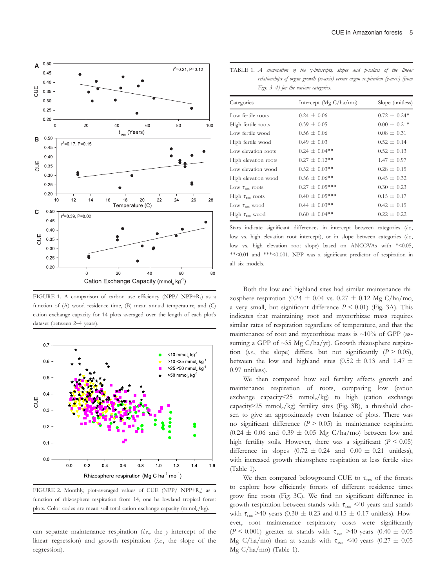

FIGURE 1. A comparison of carbon use efficiency (NPP/ NPP+Ra) as a function of (A) wood residence time, (B) mean annual temperature, and (C) cation exchange capacity for 14 plots averaged over the length of each plot's dataset (between 2–4 years).



FIGURE 2. Monthly, plot-averaged values of CUE (NPP/ NPP+R<sub>a</sub>) as a function of rhizosphere respiration from 14, one ha lowland tropical forest plots. Color codes are mean soil total cation exchange capacity (mmol<sub>c</sub>/kg).

can separate maintenance respiration  $(i.e.,$  the y intercept of the linear regression) and growth respiration (*i.e.*, the slope of the regression).

TABLE 1. A summation of the y-intercepts, slopes and p-values of the linear relationships of organ growth (x-axis) versus organ respiration (y-axis) (from Figs. 3–4) for the various categories.

| Categories              | Intercept ( $Mg C/ha/mol$ ) | Slope (unitless) |
|-------------------------|-----------------------------|------------------|
| Low fertile roots       | $0.24 \pm 0.06$             | $0.72 \pm 0.24*$ |
| High fertile roots      | $0.39 \pm 0.05$             | $0.00 \pm 0.21*$ |
| Low fertile wood        | $0.56 \pm 0.06$             | $0.08 \pm 0.31$  |
| High fertile wood       | $0.49 \pm 0.03$             | $0.52 + 0.14$    |
| Low elevation roots     | $0.24 \pm 0.04$ **          | $0.52 + 0.13$    |
| High elevation roots    | $0.27 \pm 0.12$ **          | $1.47 \pm 0.97$  |
| Low elevation wood      | $0.52 \pm 0.03$ **          | $0.28 \pm 0.15$  |
| High elevation wood     | $0.56 \pm 0.06$ **          | $0.45 \pm 0.32$  |
| Low $\tau_{res}$ roots  | $0.27 \pm 0.05***$          | $0.30 + 0.23$    |
| High $\tau_{res}$ roots | $0.40 \pm 0.05$ ***         | $0.15 \pm 0.17$  |
| Low $\tau_{res}$ wood   | $0.44 \pm 0.03$ **          | $0.42 \pm 0.15$  |
| High $\tau_{res}$ wood  | $0.60 \pm 0.04$ **          | $0.22 + 0.22$    |

Stars indicate significant differences in intercept between categories (i.e., low vs. high elevation root intercept), or in slope between categories (i.e., low vs. high elevation root slope) based on ANCOVAs with \*<0.05, \*\*<0.01 and \*\*\*<0.001. NPP was a significant predictor of respiration in all six models.

Both the low and highland sites had similar maintenance rhizosphere respiration (0.24  $\pm$  0.04 vs. 0.27  $\pm$  0.12 Mg C/ha/mo, a very small, but significant difference  $P \le 0.01$ ) (Fig. 3A). This indicates that maintaining root and mycorrhizae mass requires similar rates of respiration regardless of temperature, and that the maintenance of root and mycorrhizae mass is  $\sim$ 10% of GPP (assuming a GPP of  $\sim$ 35 Mg C/ha/yr). Growth rhizosphere respiration (i.e., the slope) differs, but not significantly ( $P > 0.05$ ), between the low and highland sites (0.52  $\pm$  0.13 and 1.47  $\pm$ 0.97 unitless).

We then compared how soil fertility affects growth and maintenance respiration of roots, comparing low (cation exchange capacity $\leq$ 25 mmol<sub>c</sub>/kg) to high (cation exchange capacity>25 mmol<sub>c</sub>/kg) fertility sites (Fig. 3B), a threshold chosen to give an approximately even balance of plots. There was no significant difference  $(P > 0.05)$  in maintenance respiration  $(0.24 \pm 0.06$  and  $0.39 \pm 0.05$  Mg C/ha/mo) between low and high fertility soils. However, there was a significant ( $P \le 0.05$ ) difference in slopes  $(0.72 \pm 0.24$  and  $0.00 \pm 0.21$  unitless), with increased growth rhizosphere respiration at less fertile sites (Table 1).

We then compared belowground CUE to  $\tau_{res}$  of the forests to explore how efficiently forests of different residence times grow fine roots (Fig. 3C). We find no significant difference in growth respiration between stands with  $\tau_{res}$  <40 years and stands with  $\tau_{res}$  >40 years (0.30  $\pm$  0.23 and 0.15  $\pm$  0.17 unitless). However, root maintenance respiratory costs were significantly (P < 0.001) greater at stands with  $\tau_{res}$  >40 years (0.40  $\pm$  0.05 Mg C/ha/mo) than at stands with  $\tau_{res}$  <40 years (0.27  $\pm$  0.05 Mg C/ha/mo) (Table 1).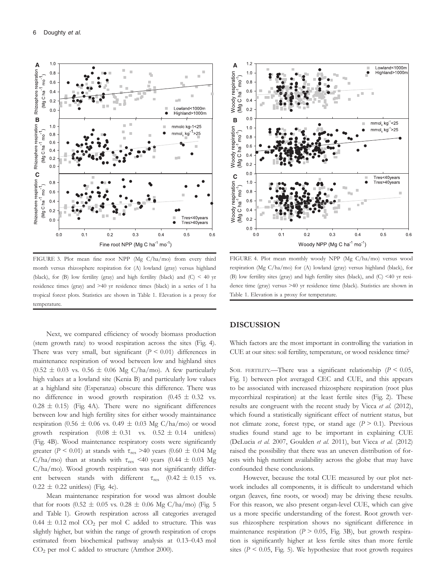

FIGURE 3. Plot mean fine root NPP (Mg C/ha/mo) from every third month versus rhizosphere respiration for (A) lowland (gray) versus highland (black), for (B) low fertility (gray) and high fertility (black) and (C) < 40 yr residence times (gray) and >40 yr residence times (black) in a series of 1 ha tropical forest plots. Statistics are shown in Table 1. Elevation is a proxy for temperature.

Next, we compared efficiency of woody biomass production (stem growth rate) to wood respiration across the sites (Fig. 4). There was very small, but significant  $(P \le 0.01)$  differences in maintenance respiration of wood between low and highland sites  $(0.52 \pm 0.03 \text{ vs. } 0.56 \pm 0.06 \text{ Mg C/ha/mol})$ . A few particularly high values at a lowland site (Kenia B) and particularly low values at a highland site (Esperanza) obscure this difference. There was no difference in wood growth respiration  $(0.45 \pm 0.32 \text{ vs.})$  $0.28 \pm 0.15$ ) (Fig. 4A). There were no significant differences between low and high fertility sites for either woody maintainance respiration (0.56  $\pm$  0.06 vs. 0.49  $\pm$  0.03 Mg C/ha/mo) or wood growth respiration  $(0.08 \pm 0.31 \text{ vs. } 0.52 \pm 0.14 \text{ units})$ (Fig. 4B). Wood maintenance respiratory costs were significantly greater ( $P \le 0.01$ ) at stands with  $\tau_{res}$  >40 years (0.60  $\pm$  0.04 Mg C/ha/mo) than at stands with  $\tau_{res}$  <40 years (0.44  $\pm$  0.03 Mg C/ha/mo). Wood growth respiration was not significantly different between stands with different  $\tau_{res}$  (0.42  $\pm$  0.15 vs.  $0.22 \pm 0.22$  unitless) (Fig. 4c).

Mean maintenance respiration for wood was almost double that for roots (0.52  $\pm$  0.05 vs. 0.28  $\pm$  0.06 Mg C/ha/mo) (Fig. 5 and Table 1). Growth respiration across all categories averaged  $0.44 \pm 0.12$  mol CO<sub>2</sub> per mol C added to structure. This was slightly higher, but within the range of growth respiration of crops estimated from biochemical pathway analysis at 0.13–0.43 mol CO2 per mol C added to structure (Amthor 2000).



FIGURE 4. Plot mean monthly woody NPP (Mg C/ha/mo) versus wood respiration (Mg C/ha/mo) for (A) lowland (gray) versus highland (black), for (B) low fertility sites (gray) and high fertility sites (black), and (C) <40 yr residence time (gray) versus >40 yr residence time (black). Statistics are shown in Table 1. Elevation is a proxy for temperature.

#### DISCUSSION

Which factors are the most important in controlling the variation in CUE at our sites: soil fertility, temperature, or wood residence time?

SOIL FERTILITY.—There was a significant relationship ( $P \le 0.05$ , Fig. 1) between plot averaged CEC and CUE, and this appears to be associated with increased rhizosphere respiration (root plus mycorrhizal respiration) at the least fertile sites (Fig. 2). These results are congruent with the recent study by Vicca et al. (2012), which found a statistically significant effect of nutrient status, but not climate zone, forest type, or stand age  $(P > 0.1)$ . Previous studies found stand age to be important in explaining CUE (DeLucia et al. 2007, Goulden et al. 2011), but Vicca et al. (2012) raised the possibility that there was an uneven distribution of forests with high nutrient availability across the globe that may have confounded these conclusions.

However, because the total CUE measured by our plot network includes all components, it is difficult to understand which organ (leaves, fine roots, or wood) may be driving these results. For this reason, we also present organ-level CUE, which can give us a more specific understanding of the forest. Root growth versus rhizosphere respiration shows no significant difference in maintenance respiration ( $P > 0.05$ , Fig. 3B), but growth respiration is significantly higher at less fertile sites than more fertile sites ( $P < 0.05$ , Fig. 5). We hypothesize that root growth requires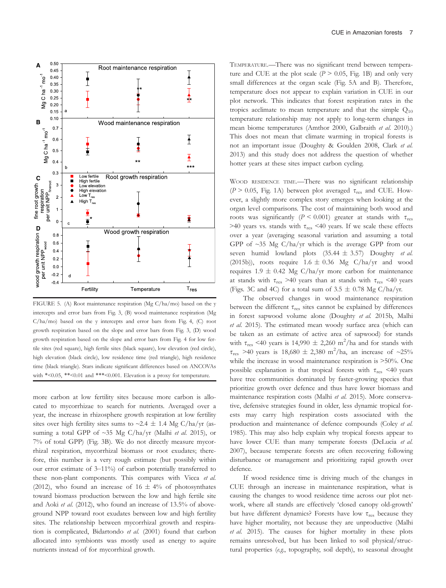

FIGURE 5. (A) Root maintenance respiration (Mg C/ha/mo) based on the y intercepts and error bars from Fig. 3, (B) wood maintenance respiration (Mg  $C/ha/mo$ ) based on the y intercepts and error bars from Fig. 4,  $(C)$  root growth respiration based on the slope and error bars from Fig. 3, (D) wood growth respiration based on the slope and error bars from Fig. 4 for low fertile sites (red square), high fertile sites (black square), low elevation (red circle), high elevation (black circle), low residence time (red triangle), high residence time (black triangle). Stars indicate significant differences based on ANCOVAs with  $*<0.05$ ,  $**<0.01$  and  $***<0.001$ . Elevation is a proxy for temperature.

more carbon at low fertility sites because more carbon is allocated to mycorrhizae to search for nutrients. Averaged over a year, the increase in rhizosphere growth respiration at low fertility sites over high fertility sites sums to  $\sim$ 2.4  $\pm$  1.4 Mg C/ha/yr (assuming a total GPP of  $\sim$ 35 Mg C/ha/yr (Malhi et al. 2015), or 7% of total GPP) (Fig. 3B). We do not directly measure mycorrhizal respiration, mycorrhizal biomass or root exudates; therefore, this number is a very rough estimate (but possibly within our error estimate of 3–11%) of carbon potentially transferred to these non-plant components. This compares with Vicca et al. (2012), who found an increase of  $16 \pm 4\%$  of photosynthates toward biomass production between the low and high fertile site and Aoki et al. (2012), who found an increase of 13.5% of aboveground NPP toward root exudates between low and high fertility sites. The relationship between mycorrhizal growth and respiration is complicated, Bidartondo et al. (2001) found that carbon allocated into symbionts was mostly used as energy to aquire nutrients instead of for mycorrhizal growth.

TEMPERATURE.—There was no significant trend between temperature and CUE at the plot scale  $(P > 0.05, Fig. 1B)$  and only very small differences at the organ scale (Fig. 5A and B). Therefore, temperature does not appear to explain variation in CUE in our plot network. This indicates that forest respiration rates in the tropics acclimate to mean temperature and that the simple  $Q_{10}$ temperature relationship may not apply to long-term changes in mean biome temperatures (Amthor 2000, Galbraith et al. 2010).) This does not mean that climate warming in tropical forests is not an important issue (Doughty & Goulden 2008, Clark et al. 2013) and this study does not address the question of whether hotter years at these sites impact carbon cycling.

WOOD RESIDENCE TIME.—There was no significant relationship ( $P > 0.05$ , Fig. 1A) between plot averaged  $\tau_{res}$  and CUE. However, a slightly more complex story emerges when looking at the organ level comparisons. The cost of maintaining both wood and roots was significantly ( $P \le 0.001$ ) greater at stands with  $\tau_{res}$ >40 years vs. stands with  $\tau_{res}$  <40 years. If we scale these effects over a year (averaging seasonal variation and assuming a total GPP of ~35 Mg C/ha/yr which is the average GPP from our seven humid lowland plots  $(35.44 \pm 3.57)$  Doughty et al. (2015b)), roots require  $1.6 \pm 0.36$  Mg C/ha/yr and wood requires 1.9  $\pm$  0.42 Mg C/ha/yr more carbon for maintenance at stands with  $\tau_{res} > 40$  years than at stands with  $\tau_{res} < 40$  years (Figs. 3C and 4C) for a total sum of 3.5  $\pm$  0.78 Mg C/ha/yr.

The observed changes in wood maintenance respiration between the different  $\tau_{res}$  sites cannot be explained by differences in forest sapwood volume alone (Doughty et al. 2015b, Malhi et al. 2015). The estimated mean woody surface area (which can be taken as an estimate of active area of sapwood) for stands with  $\tau_{res}$  <40 years is 14,990  $\pm$  2,260 m<sup>2</sup>/ha and for stands with  $\tau_{res}$  >40 years is 18,680 ± 2,380 m<sup>2</sup>/ha, an increase of ~25% while the increase in wood maintenance respiration is >50%. One possible explanation is that tropical forests with  $\tau_{res}$  <40 years have tree communities dominated by faster-growing species that prioritize growth over defence and thus have lower biomass and maintenance respiration costs (Malhi et al. 2015). More conservative, defensive strategies found in older, less dynamic tropical forests may carry high respiration costs associated with the production and maintenance of defence compounds (Coley et al. 1985). This may also help explain why tropical forests appear to have lower CUE than many temperate forests (DeLucia et al. 2007), because temperate forests are often recovering following disturbance or management and prioritizing rapid growth over defence.

If wood residence time is driving much of the changes in CUE through an increase in maintenance respiration, what is causing the changes to wood residence time across our plot network, where all stands are effectively 'closed canopy old-growth' but have different dynamics? Forests have low  $\tau_{res}$  because they have higher mortality, not because they are unproductive (Malhi et al. 2015). The causes for higher mortality in these plots remains unresolved, but has been linked to soil physical/structural properties (e.g., topography, soil depth), to seasonal drought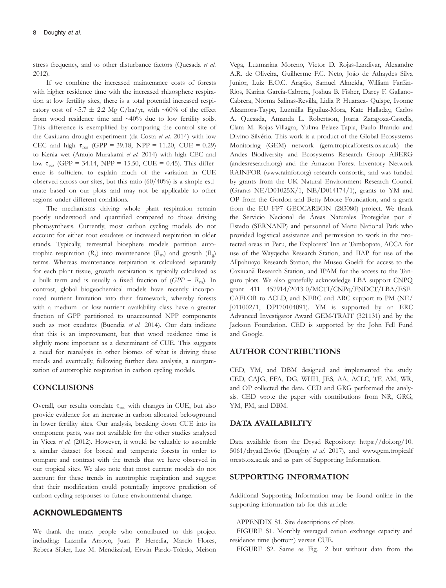stress frequency, and to other disturbance factors (Quesada et al. 2012).

If we combine the increased maintenance costs of forests with higher residence time with the increased rhizosphere respiration at low fertility sites, there is a total potential increased respiratory cost of  $\sim$ 5.7  $\pm$  2.2 Mg C/ha/yr, with  $\sim$ 60% of the effect from wood residence time and ~40% due to low fertility soils. This difference is exemplified by comparing the control site of the Caxiuana drought experiment (da Costa et al. 2014) with low CEC and high  $\tau_{res}$  (GPP = 39.18, NPP = 11.20, CUE = 0.29) to Kenia wet (Araujo-Murakami et al. 2014) with high CEC and low  $\tau_{res}$  (GPP = 34.14, NPP = 15.50, CUE = 0.45). This difference is sufficient to explain much of the variation in CUE observed across our sites, but this ratio (60/40%) is a simple estimate based on our plots and may not be applicable to other regions under different conditions.

The mechanisms driving whole plant respiration remain poorly understood and quantified compared to those driving photosynthesis. Currently, most carbon cycling models do not account for either root exudates or increased respiration in older stands. Typically, terrestrial biosphere models partition autotrophic respiration  $(R_a)$  into maintenance  $(R_m)$  and growth  $(R_g)$ terms. Whereas maintenance respiration is calculated separately for each plant tissue, growth respiration is typically calculated as a bulk term and is usually a fixed fraction of  $(GPP - R<sub>m</sub>)$ . In contrast, global biogeochemical models have recently incorporated nutrient limitation into their framework, whereby forests with a medium- or low-nutrient availability class have a greater fraction of GPP partitioned to unaccounted NPP components such as root exudates (Buendia et al. 2014). Our data indicate that this is an improvement, but that wood residence time is slightly more important as a determinant of CUE. This suggests a need for reanalysis in other biomes of what is driving these trends and eventually, following further data analysis, a reorganization of autotrophic respiration in carbon cycling models.

### **CONCLUSIONS**

Overall, our results correlate  $\tau_{\rm res}$  with changes in CUE, but also provide evidence for an increase in carbon allocated belowground in lower fertility sites. Our analysis, breaking down CUE into its component parts, was not available for the other studies analysed in Vicca et al. (2012). However, it would be valuable to assemble a similar dataset for boreal and temperate forests in order to compare and contrast with the trends that we have observed in our tropical sites. We also note that most current models do not account for these trends in autotrophic respiration and suggest that their modification could potentially improve prediction of carbon cycling responses to future environmental change.

### ACKNOWLEDGMENTS

We thank the many people who contributed to this project including: Luzmila Arroyo, Juan P. Heredia, Marcio Flores, Rebeca Sibler, Luz M. Mendizabal, Erwin Pardo-Toledo, Meison

Vega, Luzmarina Moreno, Victor D. Rojas-Landivar, Alexandre A.R. de Oliveira, Guilherme F.C. Neto, João de Athaydes Silva Junior, Luiz E.O.C. Aragão, Samuel Almeida, William Farfán-Rios, Karina García-Cabrera, Joshua B. Fisher, Darcy F. Galiano-Cabrera, Norma Salinas-Revilla, Lidia P. Huaraca- Quispe, Ivonne Alzamora-Taype, Luzmilla Eguiluz-Mora, Kate Halladay, Carlos A. Quesada, Amanda L. Robertson, Joana Zaragoza-Castells, Clara M. Rojas-Villagra, Yulina Pelaez-Tapia, Paulo Brando and Divino Silvério. This work is a product of the Global Ecosystems Monitoring (GEM) network (gem.tropicalforests.ox.ac.uk) the Andes Biodiversity and Ecosystems Research Group ABERG (andesresearch.org) and the Amazon Forest Inventory Network RAINFOR ([www.rainfor.org\)](http://www.rainfor.org) research consortia, and was funded by grants from the UK Natural Environment Research Council (Grants NE/D01025X/1, NE/D014174/1), grants to YM and OP from the Gordon and Betty Moore Foundation, and a grant from the EU FP7 GEOCARBON (283080) project. We thank the Servicio Nacional de Areas Naturales Protegidas por el Estado (SERNANP) and personnel of Manu National Park who provided logistical assistance and permission to work in the protected areas in Peru, the Explorers' Inn at Tambopata, ACCA for use of the Wayqecha Research Station, and IIAP for use of the Allpahuayo Research Station, the Museo Goeldi for access to the Caxiuana Research Station, and IPAM for the access to the Tanguro plots. We also gratefully acknowledge LBA support CNPQ grant 411 457914/2013-0/MCTI/CNPq/FNDCT/LBA/ESE-CAFLOR to ACLD, and NERC and ARC support to PM (NE/ J011002/1, DP170104091). YM is supported by an ERC Advanced Investigator Award GEM-TRAIT (321131) and by the Jackson Foundation. CED is supported by the John Fell Fund and Google.

### AUTHOR CONTRIBUTIONS

CED, YM, and DBM designed and implemented the study. CED, CAJG, FFA, DG, WHH, JES, AA, ACLC, TF, AM, WR, and OP collected the data. CED and GRG performed the analysis. CED wrote the paper with contributions from NR, GRG, YM, PM, and DBM.

### DATA AVAILABILITY

Data available from the Dryad Repository: [https://doi.org/10.](https://doi.org/10.5061/dryad.2hv6c) [5061/dryad.2hv6c](https://doi.org/10.5061/dryad.2hv6c) (Doughty et al. 2017), and [www.gem.tropicalf](http://www.gem.tropicalforests.ox.ac.uk) [orests.ox.ac.uk](http://www.gem.tropicalforests.ox.ac.uk) and as part of Supporting Information.

### SUPPORTING INFORMATION

Additional Supporting Information may be found online in the supporting information tab for this article:

#### APPENDIX S1. Site descriptions of plots.

FIGURE S1. Monthly averaged cation exchange capacity and residence time (bottom) versus CUE.

FIGURE S2. Same as Fig. 2 but without data from the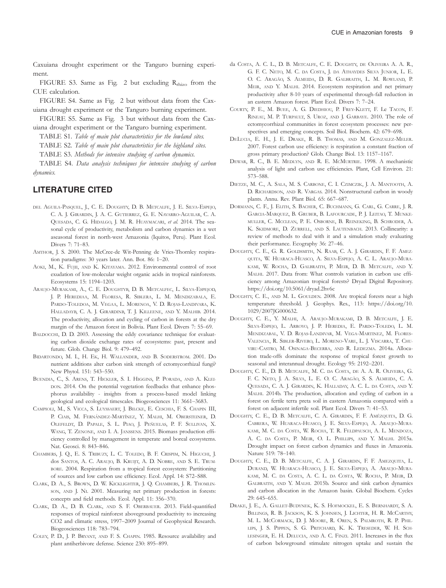Caxuiana drought experiment or the Tanguro burning experiment.

FIGURE S3. Same as Fig. 2 but excluding  $R_{\text{rhizo}}$  from the CUE calculation.

FIGURE S4. Same as Fig. 2 but without data from the Caxuiana drought experiment or the Tanguro burning experiment.

FIGURE S5. Same as Fig. 3 but without data from the Caxuiana drought experiment or the Tanguro burning experiment.

TABLE S1. Table of main plot characteristics for the lowland sites.

TABLE S2. Table of main plot characteristics for the highland sites.

TABLE S3. Methods for intensive studying of carbon dynamics.

TABLE S4. Data analysis techniques for intensive studying of carbon dynamics.

### LITERATURE CITED

- DEL AGUILA-PASQUEL, J., C. E. DOUGHTY, D. B. METCALFE, J. E. SILVA-ESPEJO, C. A. J. GIRARDIN, J. A. C. GUTIERREZ, G. E. NAVARRO-AGUILAR, C. A. QUESADA, C. G. HIDALGO, J. M. R. HUAYMACARI, et al. 2014. The seasonal cycle of productivity, metabolism and carbon dynamics in a wet aseasonal forest in north-west Amazonia (Iquitos, Peru). Plant Ecol. Divers 7: 71–83.
- AMTHOR, J. S. 2000. The McCree-de Wit-Penning de Vries-Thornley respiration paradigms: 30 years later. Ann. Bot. 86: 1–20.
- AOKI, M., K. FUJII, AND K. KITAYAMA. 2012. Environmental control of root exudation of low-molecular weight organic acids in tropical rainforests. Ecosystems 15: 1194–1203.
- ARAUJO-MURAKAMI, A., C. E. DOUGHTYB, D. B. METCALFEC, L. SILVA-ESPEJOD, J. P. HEREDIAA, M. FLORESA, R. SIBLERA, L. M. MENDIZABALA, E. PARDO-TOLEDOA, M. VEGAA, L. MORENOA, V. D. ROJAS-LANDIVARA, K. HALLADAYB, C. A. J. GIRARDINB, T. J. KILLEENE, AND Y. MALHIB. 2014. The productivity, allocation and cycling of carbon in forests at the dry margin of the Amazon forest in Bolivia. Plant Ecol. Divers 7: 55–69.
- BALDOCCHI, D. D. 2003. Assessing the eddy covariance technique for evaluating carbon dioxide exchange rates of ecosystems: past, present and future. Glob. Change Biol. 9: 479–492.
- BIDARTONDO, M. I., H. EK, H. WALLANDER, AND B. SODERSTROM. 2001. Do nutrient additions alter carbon sink strength of ectomycorrhizal fungi? New Phytol. 151: 543–550.
- BUENDIA, C., S. ARENS, T. HICKLER, S. I. HIGGINS, P. PORADA, AND A. KLEI-DON. 2014. On the potential vegetation feedbacks that enhance phosphorus availability - insights from a process-based model linking geological and ecological timescales. Biogeosciences 11: 3661–3683.
- CAMPIOLI, M., S. VICCA, S. LUYSSAERT, J. BILCKE, E. CESCHIA, F. S. CHAPIN III, P. CIAIS, M. FERNÁNDEZ-MARTÍNEZ, Y. MALHI, M. OBERSTEINER, D. OLEFELDT, D. PAPALE, S. L. PIAO, J. PEÑUELAS, P. F. SULLIVAN, X. WANG, T. ZENONE, AND I. A. JANSSENS. 2015. Biomass production efficiency controlled by management in temperate and boreal ecosystems. Nat. Geosci. 8: 843–846.
- CHAMBERS, J. Q., E. S. TRIBUZY, L. C. TOLEDO, B. F. CRISPIM, N. HIGUCHI, J. dos SANTOS, A. C. ARAUJO, B. KRUIJT, A. D. NOBRE, AND S. E. TRUM-BORE. 2004. Respiration from a tropical forest ecosystem: Partitioning of sources and low carbon use efficiency. Ecol. Appl. 14: S72–S88.
- CLARK, D. A., S. BROWN, D. W. KICKLIGHTER, J. Q. CHAMBERS, J. R. THOMLIN-SON, AND J. NI. 2001. Measuring net primary production in forests: concepts and field methods. Ecol. Appl. 11: 356–370.
- CLARK, D. A., D. B. CLARK, AND S. F. OBERBAUER. 2013. Field-quantified responses of tropical rainforest aboveground productivity to increasing CO2 and climatic stress, 1997–2009 Journal of Geophysical Research. Biogeosciences 118: 783–794.
- COLEY, P. D., J. P. BRYANT, AND F. S. CHAPIN. 1985. Resource availability and plant antiherbivore defense. Science 230: 895–899.
- da COSTA, A. C. L., D. B. METCALFE, C. E. DOUGHTY, DE OLIVEIRA A. A. R., G. F. C. NETO, M. C. DA COSTA, J. DA ATHAYDES SILVA JUNIOR, L. E. O. C. ARAGÃO, S. ALMEIDA, D. R. GALBRAITH, L. M. ROWLAND, P. MEIR, AND Y. MALHI. 2014. Ecosystem respiration and net primary productivity after 8-10 years of experimental through-fall reduction in an eastern Amazon forest. Plant Ecol. Divers 7: 7–24.
- COURTY, P. E., M. BUEE, A. G. DIEDHIOU, P. FREY-KLETT, F. Le TACON, F. RINEAU, M. P. TURPAULT, S. UROZ, AND J. GARBAYE. 2010. The role of ectomycorrhizal communities in forest ecosystem processes: new perspectives and emerging concepts. Soil Biol. Biochem. 42: 679–698.
- DELUCIA, E. H., J. E. DRAKE, R. B. THOMAS, AND M. GONZALEZ-MELER. 2007. Forest carbon use efficiency: is respiration a constant fraction of gross primary production? Glob. Change Biol. 13: 1157–1167.
- DEWAR, R. C., B. E. MEDLYN, AND R. E. MCMURTRIE. 1998. A mechanistic analysis of light and carbon use efficiencies. Plant, Cell Environ. 21: 573–588.
- DIETZE, M. C., A. SALA, M. S. CARBONE, C. I. CZIMCZIK, J. A. MANTOOTH, A. D. RICHARDSON, AND R. VARGAS. 2014. Nonstructural carbon in woody plants. Annu. Rev. Plant Biol. 65: 667–687.
- DORMANN, C. F., J. ELITH, S. BACHER, C. BUCHMANN, G. CARL, G. CARRE, J. R. GARCIA-MARQUEZ, B. GRUBER, B. LAFOURCADE, P. J. LEITAO, T. MUNKE-MULLER, C. MCCLEAN, P. E. OSBORNE, B. REINEKING, B. SCHRODER, A. K. SKIDMORE, D. ZURRELL, AND S. LAUTENBACH. 2013. Collinearity: a review of methods to deal with it and a simulation study evaluating their performance. Ecography 36: 27–46.
- DOUGHTY, C. E., G. R. GOLDSMITH, N. RAAB, C. A. J. GIRARDIN, F. F. AMEZ-QUITA, W. HUARACA-HUASCO, A. SILVA-ESPEJO, A. C. L. ARAUJO-MURA-KAMI, W. ROCHA, D. GALBRAITH, P. MEIR, D. B. METCALFE, AND Y. MALHI. 2017. Data from: What controls variation in carbon use efficiency among Amazonian tropical forests? Dryad Digital Repository. <https://doi.org/10.5061/dryad.2hv6c>
- DOUGHTY, C. E., AND M. L. GOULDEN. 2008. Are tropical forests near a high temperature threshold. J. Geophys. Res., 113: [https://doi.org/10.](https://doi.org/10.1029/2007JG000632) [1029/2007JG000632.](https://doi.org/10.1029/2007JG000632)
- DOUGHTY, C. E., Y. MALHI, A. ARAUJO-MURAKAMI, D. B. METCALFE, J. E. SILVA-ESPEJO, L. ARROYO, J. P. HEREDIA, E. PARDO-TOLEDO, L. M. MENDIZABAL, V. D. ROJAS-LANDIVAR, M. VEGA-MARTINEZ, M. FLORES-VALENCIA, R. SIBLER-RIVERO, L. MORENO-VARE, L. J. VISCARRA, T. CHU-VIRU-CASTRO, M. OSINAGA-BECERRA, AND R. LEDEZMA. 2014a. Allocation trade-offs dominate the response of tropical forest growth to seasonal and interannual drought. Ecology 95: 2192–2201.
- DOUGHTY, C. E., D. B. METCALFE, M. C. DA COSTA, DE A. A. R. OLIVEIRA, G. F. C. NETO, J. A. SILVA, L. E. O. C. ARAGÃO, S. S. ALMEIDA, C. A. QUESADA, C. A. J. GIRARDIN, K. HALLADAY, A. C. L. DA COSTA, AND Y. MALHI. 2014b. The production, allocation and cycling of carbon in a forest on fertile terra preta soil in eastern Amazonia compared with a forest on adjacent infertile soil. Plant Ecol. Divers 7: 41–53.
- DOUGHTY, C. E., D. B. METCALFE, C. A. GIRARDIN, F. F. AMÉZQUITA, D. G. CABRERA, W. HUARACA-HUASCO, J. E. SILVA-ESPEJO, A. ARAUJO-MURA-KAMI, M. C. DA COSTA, W. ROCHA, T. R. FELDPAUSCH, A. L. MENDOZA, A. C. DA COSTA, P. MEIR, O. L. PHILLIPS, AND Y. MALHI. 2015a. Drought impact on forest carbon dynamics and fluxes in Amazonia. Nature 519: 78–140.
- DOUGHTY, C. E., D. B. METCALFE, C. A. J. GIRARDIN, F. F. AMEZQUITA, L. DURAND, W. HUARACA-HUASCO, J. E. SILVA-ESPEJO, A. ARAUJO-MURA-KAMI, M. C. DA COSTA, A. C. L. DA COSTA, W. ROCHA, P. MEIR, D. GALBRAITH, AND Y. MALHI. 2015b. Source and sink carbon dynamics and carbon allocation in the Amazon basin. Global Biochem. Cycles 29: 645–655.
- DRAKE, J. E., A. GALLET-BUDYNEK, K. S. HOFMOCKEL, E. S. BERNHARDT, S. A. BILLINGS, R. B. JACKSON, K. S. JOHNSEN, J. LICHTER, H. R. MCCARTHY, M. L. MCCORMACK, D. J. MOORE, R. OREN, S. PALMROTH, R. P. PHIL-LIPS, J. S. PIPPEN, S. G. PRITCHARD, K. K. TRESEDER, W. H. SCH-LESINGER, E. H. DELUCIA, AND A. C. FINZI. 2011. Increases in the flux of carbon belowground stimulate nitrogen uptake and sustain the